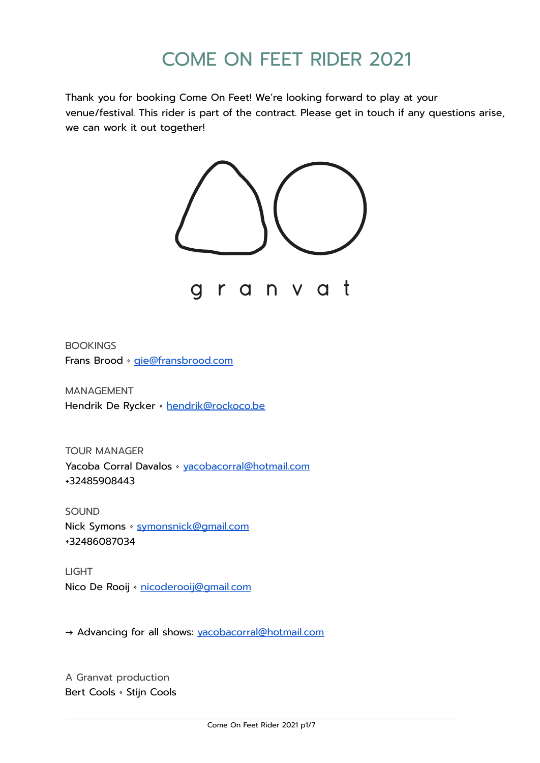# COME ON FEET RIDER 2021

Thank you for booking Come On Feet! We're looking forward to play at your venue/festival. This rider is part of the contract. Please get in touch if any questions arise, we can work it out together!



**BOOKINGS** Frans Brood · [gie@fransbrood.com](mailto:gie@fransbrood.com)

MANAGEMENT Hendrik De Rycker · [hendrik@rockoco.be](mailto:hendrik@rockoco.be)

TOUR MANAGER Yacoba Corral Davalos • [yacobacorral@hotmail.com](mailto:yacobacorral@hotmail.com) +32485908443

SOUND Nick Symons · [symonsnick@gmail.com](mailto:symonsnick@gmail.com) +32486087034

LIGHT Nico De Rooij · [nicoderooij@gmail.com](mailto:nicoderooij@gmail.com)

→ Advancing for all shows: [yacobacorral@hotmail.com](mailto:yacobacorral@hotmail.com)

A Granvat production Bert Cools • Stijn Cools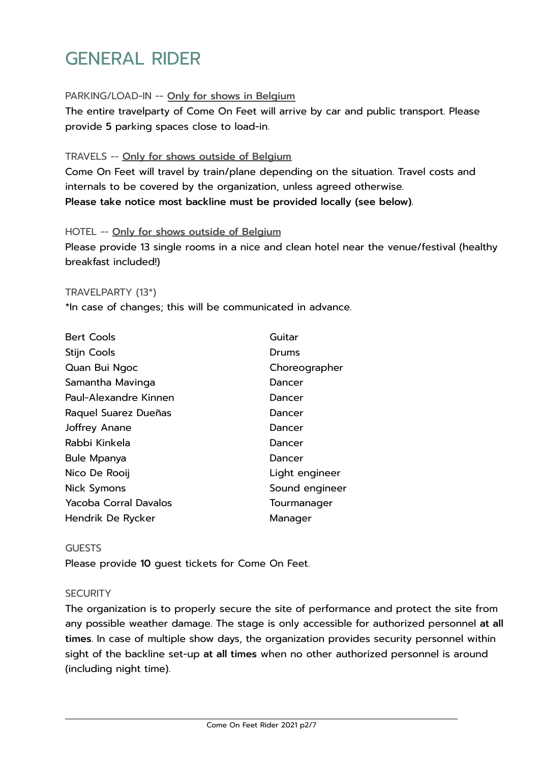## GENERAL RIDER

#### PARKING/LOAD-IN -- Only for shows in Belgium

The entire travelparty of Come On Feet will arrive by car and public transport. Please provide 5 parking spaces close to load-in.

#### TRAVELS -- Only for shows outside of Belgium

Come On Feet will travel by train/plane depending on the situation. Travel costs and internals to be covered by the organization, unless agreed otherwise. Please take notice most backline must be provided locally (see below).

#### HOTEL -- Only for shows outside of Belgium

Please provide 13 single rooms in a nice and clean hotel near the venue/festival (healthy breakfast included!)

#### TRAVELPARTY (13\*)

\*In case of changes; this will be communicated in advance.

| <b>Bert Cools</b>            | Guitar         |
|------------------------------|----------------|
| <b>Stijn Cools</b>           | Drums          |
| Quan Bui Ngoc                | Choreographer  |
| Samantha Mavinga             | Dancer         |
| Paul-Alexandre Kinnen        | Dancer         |
| Raquel Suarez Dueñas         | Dancer         |
| Joffrey Anane                | Dancer         |
| Rabbi Kinkela                | Dancer         |
| Bule Mpanya                  | Dancer         |
| Nico De Rooij                | Light engineer |
| Nick Symons                  | Sound engineer |
| <b>Yacoba Corral Davalos</b> | Tourmanager    |
| Hendrik De Rycker            | Manager        |

#### **GUESTS**

Please provide 10 guest tickets for Come On Feet.

#### **SECURITY**

The organization is to properly secure the site of performance and protect the site from any possible weather damage. The stage is only accessible for authorized personnel at all times. In case of multiple show days, the organization provides security personnel within sight of the backline set-up at all times when no other authorized personnel is around (including night time).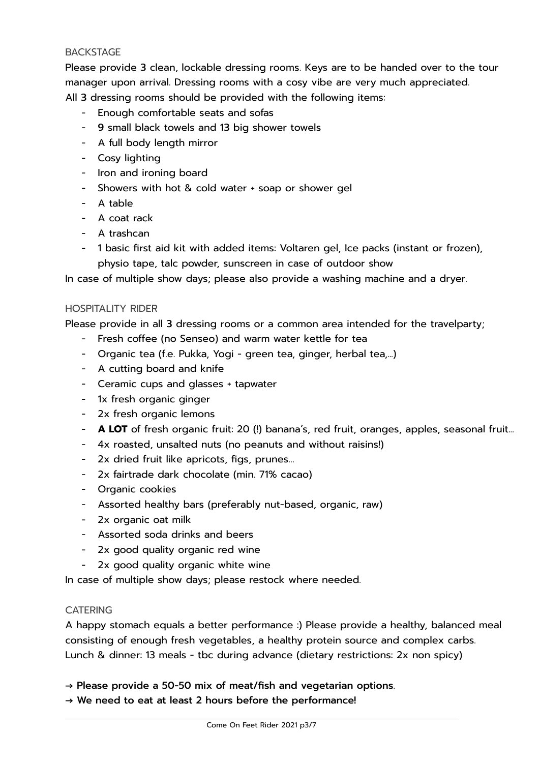#### **BACKSTAGE**

Please provide 3 clean, lockable dressing rooms. Keys are to be handed over to the tour manager upon arrival. Dressing rooms with a cosy vibe are very much appreciated. All 3 dressing rooms should be provided with the following items:

- Enough comfortable seats and sofas
- 9 small black towels and 13 big shower towels
- A full body length mirror
- Cosy lighting
- Iron and ironing board
- Showers with hot & cold water + soap or shower gel
- A table
- A coat rack
- A trashcan
- 1 basic first aid kit with added items: Voltaren gel, Ice packs (instant or frozen), physio tape, talc powder, sunscreen in case of outdoor show

In case of multiple show days; please also provide a washing machine and a dryer.

#### HOSPITALITY RIDER

Please provide in all 3 dressing rooms or a common area intended for the travelparty;

- Fresh coffee (no Senseo) and warm water kettle for tea
- Organic tea (f.e. Pukka, Yogi green tea, ginger, herbal tea,...)
- A cutting board and knife
- Ceramic cups and glasses + tapwater
- 1x fresh organic ginger
- 2x fresh organic lemons
- **A LOT** of fresh organic fruit: 20 (!) banana's, red fruit, oranges, apples, seasonal fruit...
- 4x roasted, unsalted nuts (no peanuts and without raisins!)
- 2x dried fruit like apricots, figs, prunes…
- 2x fairtrade dark chocolate (min. 71% cacao)
- Organic cookies
- Assorted healthy bars (preferably nut-based, organic, raw)
- 2x organic oat milk
- Assorted soda drinks and beers
- 2x good quality organic red wine
- 2x good quality organic white wine

In case of multiple show days; please restock where needed.

#### **CATERING**

A happy stomach equals a better performance :) Please provide a healthy, balanced meal consisting of enough fresh vegetables, a healthy protein source and complex carbs. Lunch & dinner: 13 meals - tbc during advance (dietary restrictions: 2x non spicy)

 $\rightarrow$  Please provide a 50-50 mix of meat/fish and vegetarian options.

 $\rightarrow$  We need to eat at least 2 hours before the performance!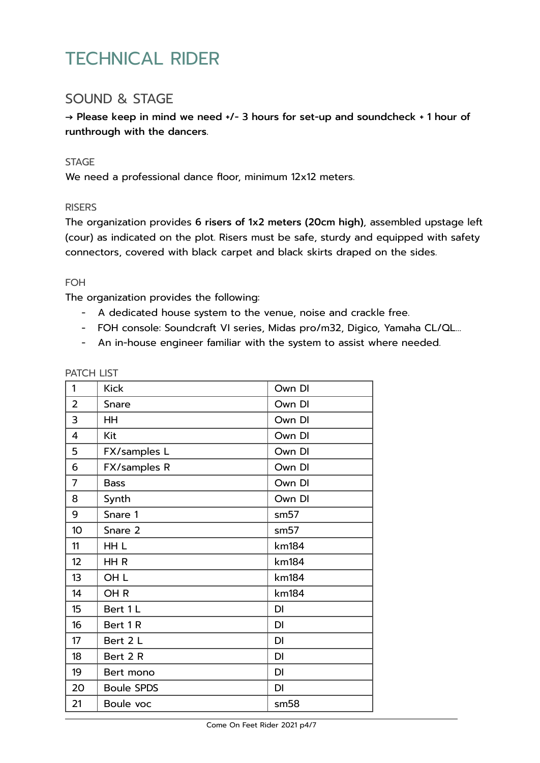## TECHNICAL RIDER

### SOUND & STAGE

→ Please keep in mind we need +/- 3 hours for set-up and soundcheck + 1 hour of runthrough with the dancers.

#### **STAGE**

We need a professional dance floor, minimum 12x12 meters.

#### **RISERS**

The organization provides 6 risers of 1x2 meters (20cm high), assembled upstage left (cour) as indicated on the plot. Risers must be safe, sturdy and equipped with safety connectors, covered with black carpet and black skirts draped on the sides.

#### FOH

The organization provides the following:

- A dedicated house system to the venue, noise and crackle free.
- FOH console: Soundcraft VI series, Midas pro/m32, Digico, Yamaha CL/QL…
- An in-house engineer familiar with the system to assist where needed.

| 1               | <b>Kick</b>       | Own DI    |
|-----------------|-------------------|-----------|
| $\overline{2}$  | Snare             | Own DI    |
| 3               | HH                | Own DI    |
| 4               | Kit               | Own DI    |
| 5               | FX/samples L      | Own DI    |
| 6               | FX/samples R      | Own DI    |
| $\overline{7}$  | <b>Bass</b>       | Own DI    |
| 8               | Synth             | Own DI    |
| 9               | Snare 1           | sm57      |
| 10 <sup>1</sup> | Snare 2           | sm57      |
| 11              | HH L              | km184     |
| 12              | HHR               | km184     |
| 13              | OH <sub>L</sub>   | km184     |
| 14              | OH <sub>R</sub>   | km184     |
| 15              | Bert 1 L          | <b>DI</b> |
| 16              | Bert 1R           | DI        |
| 17              | Bert 2 L          | DI        |
| 18              | Bert 2 R          | <b>DI</b> |
| 19              | Bert mono         | DI        |
| 20              | <b>Boule SPDS</b> | DI        |
| 21              | Boule voc         | sm58      |

#### PATCH LIST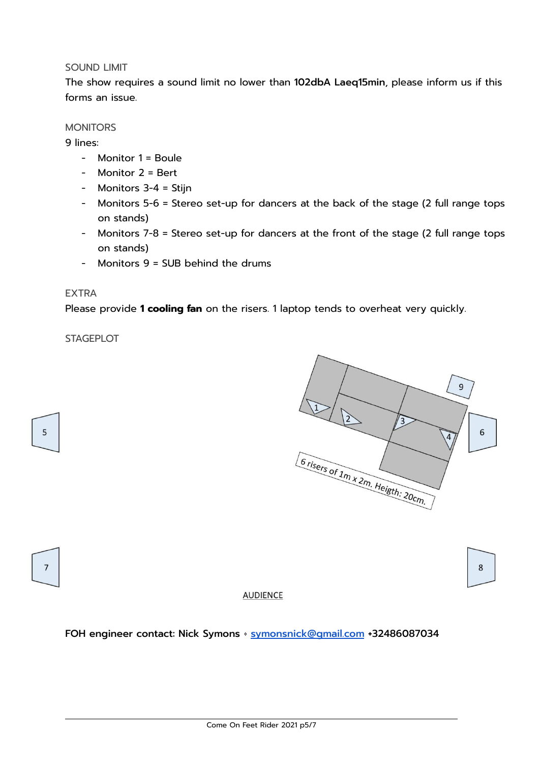#### SOUND LIMIT

The show requires a sound limit no lower than 102dbA Laeq15min, please inform us if this forms an issue.

#### **MONITORS**

9 lines:

- Monitor 1 = Boule
- Monitor 2 = Bert
- Monitors 3-4 = Stijn
- Monitors 5-6 = Stereo set-up for dancers at the back of the stage (2 full range tops on stands)
- Monitors 7-8 = Stereo set-up for dancers at the front of the stage (2 full range tops on stands)
- Monitors 9 = SUB behind the drums

#### EXTRA

Please provide **1 cooling fan** on the risers. 1 laptop tends to overheat very quickly.

**STAGEPLOT** 



5

#### **AUDIENCE**

FOH engineer contact: Nick Symons · [symonsnick@gmail.com](mailto:symonsnick@gmail.com) +32486087034

 $\bf 8$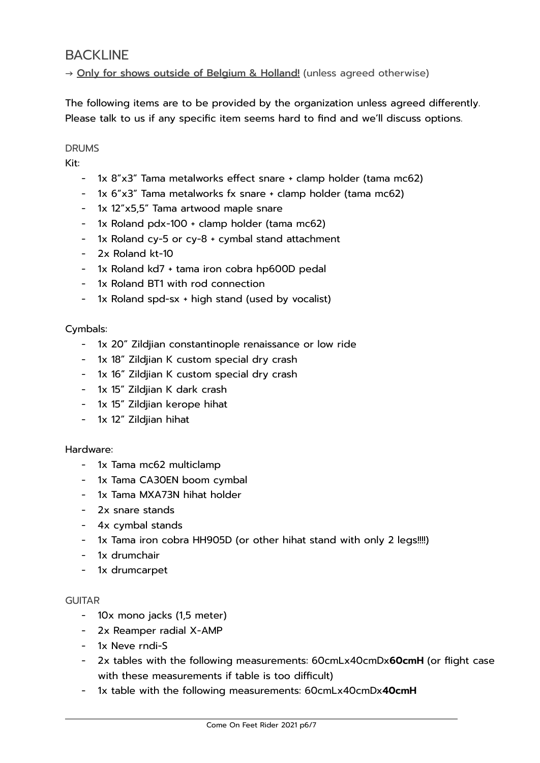### **BACKLINE**

→ Only for shows outside of Belgium & Holland! (unless agreed otherwise)

The following items are to be provided by the organization unless agreed differently. Please talk to us if any specific item seems hard to find and we'll discuss options.

#### DRUMS

Kit:

- 1x 8"x3" Tama metalworks effect snare + clamp holder (tama mc62)
- 1x 6"x3" Tama metalworks fx snare + clamp holder (tama mc62)
- 1x 12"x5,5" Tama artwood maple snare
- 1x Roland pdx-100 + clamp holder (tama mc62)
- 1x Roland cy-5 or cy-8 + cymbal stand attachment
- 2x Roland kt-10
- 1x Roland kd7 + tama iron cobra hp600D pedal
- 1x Roland BT1 with rod connection
- 1x Roland spd-sx + high stand (used by vocalist)

#### Cymbals:

- 1x 20" Zildjian constantinople renaissance or low ride
- 1x 18" Zildjian K custom special dry crash
- 1x 16" Zildjian K custom special dry crash
- 1x 15" Zildjian K dark crash
- 1x 15" Zildjian kerope hihat
- 1x 12" Zildjian hihat

#### Hardware:

- 1x Tama mc62 multiclamp
- 1x Tama CA30EN boom cymbal
- 1x Tama MXA73N hihat holder
- 2x snare stands
- 4x cymbal stands
- 1x Tama iron cobra HH905D (or other hihat stand with only 2 legs!!!!)
- 1x drumchair
- 1x drumcarpet

#### **GUITAR**

- 10x mono jacks (1,5 meter)
- 2x Reamper radial X-AMP
- 1x Neve rndi-S
- 2x tables with the following measurements: 60cmLx40cmDx**60cmH** (or flight case with these measurements if table is too difficult)
- 1x table with the following measurements: 60cmLx40cmDx**40cmH**